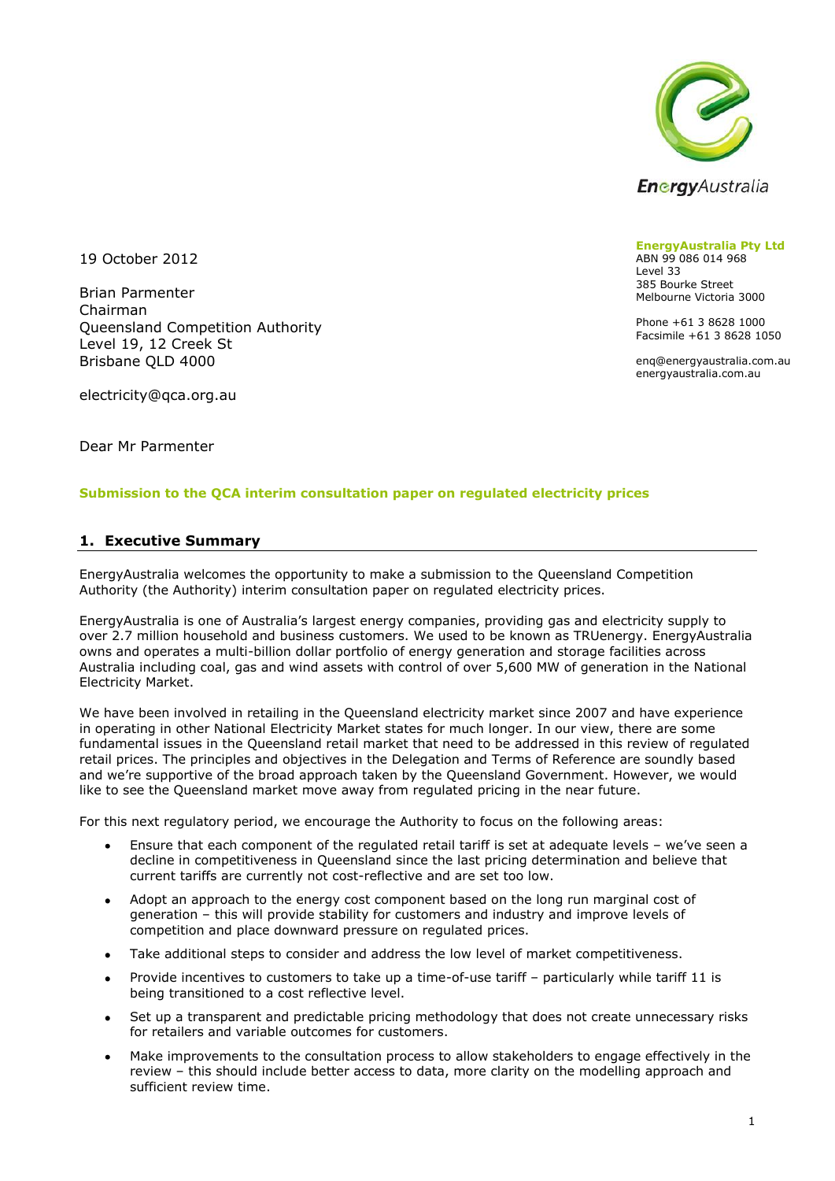

19 October 2012

Brian Parmenter Chairman Queensland Competition Authority Level 19, 12 Creek St Brisbane QLD 4000

electricity@qca.org.au

Dear Mr Parmenter

#### **Submission to the QCA interim consultation paper on regulated electricity prices**

#### **1. Executive Summary**

EnergyAustralia welcomes the opportunity to make a submission to the Queensland Competition Authority (the Authority) interim consultation paper on regulated electricity prices.

EnergyAustralia is one of Australia's largest energy companies, providing gas and electricity supply to over 2.7 million household and business customers. We used to be known as TRUenergy. EnergyAustralia owns and operates a multi-billion dollar portfolio of energy generation and storage facilities across Australia including coal, gas and wind assets with control of over 5,600 MW of generation in the National Electricity Market.

We have been involved in retailing in the Queensland electricity market since 2007 and have experience in operating in other National Electricity Market states for much longer. In our view, there are some fundamental issues in the Queensland retail market that need to be addressed in this review of regulated retail prices. The principles and objectives in the Delegation and Terms of Reference are soundly based and we're supportive of the broad approach taken by the Queensland Government. However, we would like to see the Queensland market move away from regulated pricing in the near future.

For this next regulatory period, we encourage the Authority to focus on the following areas:

- Ensure that each component of the regulated retail tariff is set at adequate levels we've seen a  $\bullet$ decline in competitiveness in Queensland since the last pricing determination and believe that current tariffs are currently not cost-reflective and are set too low.
- Adopt an approach to the energy cost component based on the long run marginal cost of  $\bullet$ generation – this will provide stability for customers and industry and improve levels of competition and place downward pressure on regulated prices.
- Take additional steps to consider and address the low level of market competitiveness.  $\bullet$
- Provide incentives to customers to take up a time-of-use tariff particularly while tariff 11 is being transitioned to a cost reflective level.
- Set up a transparent and predictable pricing methodology that does not create unnecessary risks  $\bullet$ for retailers and variable outcomes for customers.
- Make improvements to the consultation process to allow stakeholders to engage effectively in the review – this should include better access to data, more clarity on the modelling approach and sufficient review time.

**EnergyAustralia Pty Ltd** ABN 99 086 014 968 Level 33 385 Bourke Street Melbourne Victoria 3000

Phone +61 3 8628 1000 Facsimile +61 3 8628 1050

enq@energyaustralia.com.au energyaustralia.com.au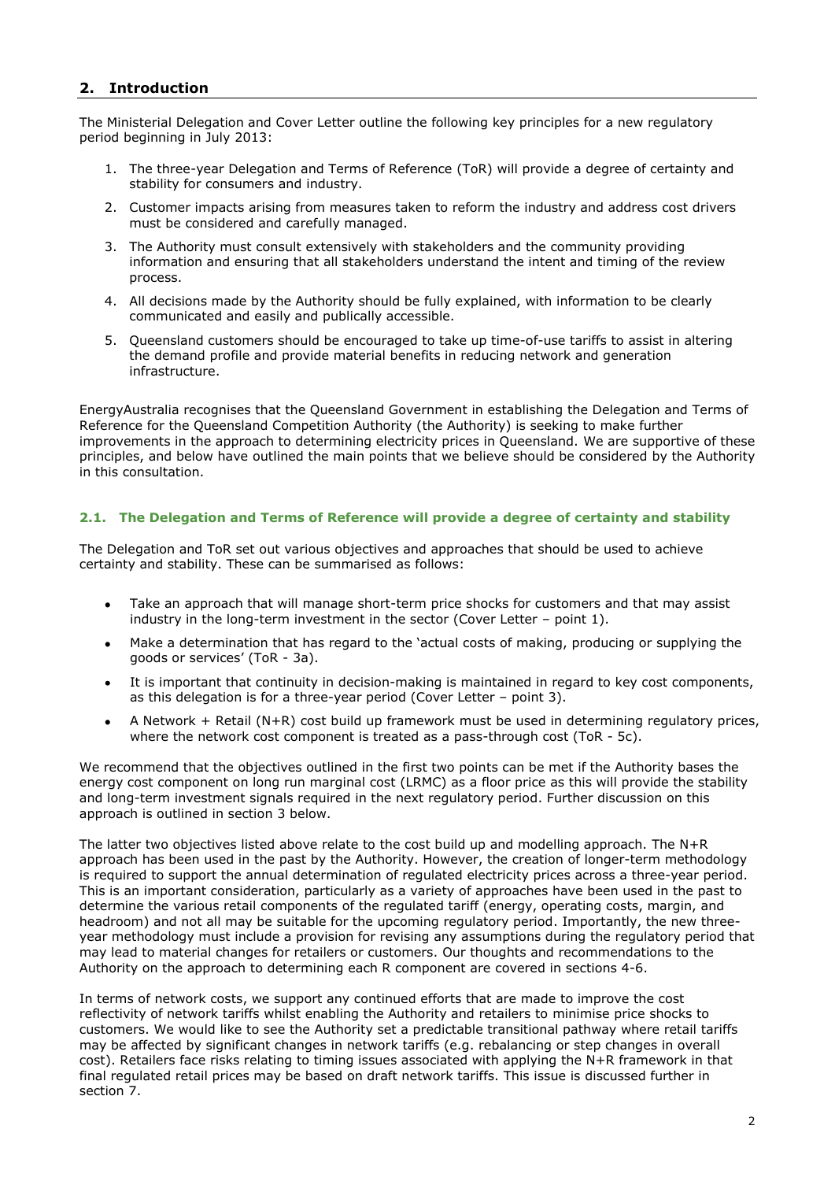# **2. Introduction**

The Ministerial Delegation and Cover Letter outline the following key principles for a new regulatory period beginning in July 2013:

- 1. The three-year Delegation and Terms of Reference (ToR) will provide a degree of certainty and stability for consumers and industry.
- 2. Customer impacts arising from measures taken to reform the industry and address cost drivers must be considered and carefully managed.
- 3. The Authority must consult extensively with stakeholders and the community providing information and ensuring that all stakeholders understand the intent and timing of the review process.
- 4. All decisions made by the Authority should be fully explained, with information to be clearly communicated and easily and publically accessible.
- 5. Queensland customers should be encouraged to take up time-of-use tariffs to assist in altering the demand profile and provide material benefits in reducing network and generation infrastructure.

EnergyAustralia recognises that the Queensland Government in establishing the Delegation and Terms of Reference for the Queensland Competition Authority (the Authority) is seeking to make further improvements in the approach to determining electricity prices in Queensland. We are supportive of these principles, and below have outlined the main points that we believe should be considered by the Authority in this consultation.

#### **2.1. The Delegation and Terms of Reference will provide a degree of certainty and stability**

The Delegation and ToR set out various objectives and approaches that should be used to achieve certainty and stability. These can be summarised as follows:

- Take an approach that will manage short-term price shocks for customers and that may assist  $\bullet$ industry in the long-term investment in the sector (Cover Letter – point 1).
- Make a determination that has regard to the 'actual costs of making, producing or supplying the goods or services' (ToR - 3a).
- It is important that continuity in decision-making is maintained in regard to key cost components,  $\bullet$ as this delegation is for a three-year period (Cover Letter – point 3).
- A Network + Retail (N+R) cost build up framework must be used in determining regulatory prices,  $\bullet$ where the network cost component is treated as a pass-through cost (ToR - 5c).

We recommend that the objectives outlined in the first two points can be met if the Authority bases the energy cost component on long run marginal cost (LRMC) as a floor price as this will provide the stability and long-term investment signals required in the next regulatory period. Further discussion on this approach is outlined in section [3](#page-3-0) below.

The latter two objectives listed above relate to the cost build up and modelling approach. The N+R approach has been used in the past by the Authority. However, the creation of longer-term methodology is required to support the annual determination of regulated electricity prices across a three-year period. This is an important consideration, particularly as a variety of approaches have been used in the past to determine the various retail components of the regulated tariff (energy, operating costs, margin, and headroom) and not all may be suitable for the upcoming regulatory period. Importantly, the new threeyear methodology must include a provision for revising any assumptions during the regulatory period that may lead to material changes for retailers or customers. Our thoughts and recommendations to the Authority on the approach to determining each R component are covered in sections [4](#page-7-0)[-6.](#page-9-0)

In terms of network costs, we support any continued efforts that are made to improve the cost reflectivity of network tariffs whilst enabling the Authority and retailers to minimise price shocks to customers. We would like to see the Authority set a predictable transitional pathway where retail tariffs may be affected by significant changes in network tariffs (e.g. rebalancing or step changes in overall cost). Retailers face risks relating to timing issues associated with applying the N+R framework in that final regulated retail prices may be based on draft network tariffs. This issue is discussed further in section [7.](#page-11-0)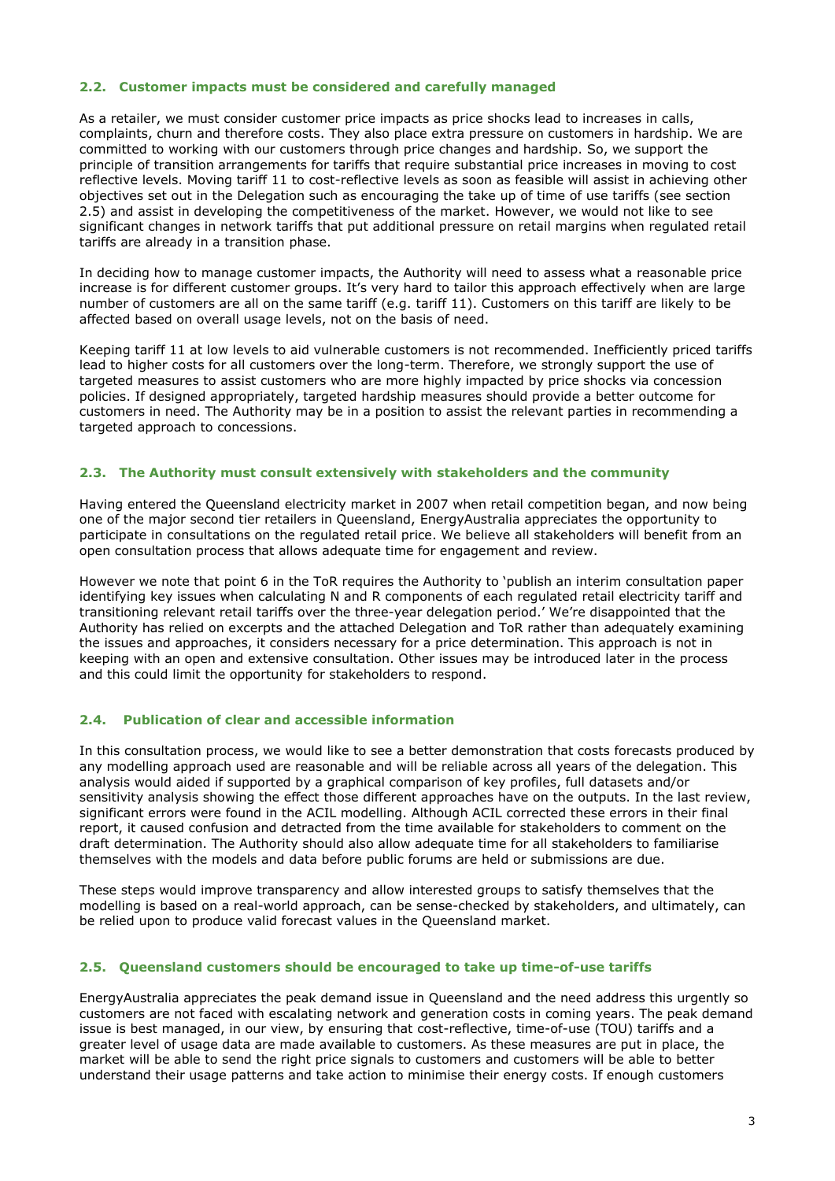#### **2.2. Customer impacts must be considered and carefully managed**

As a retailer, we must consider customer price impacts as price shocks lead to increases in calls, complaints, churn and therefore costs. They also place extra pressure on customers in hardship. We are committed to working with our customers through price changes and hardship. So, we support the principle of transition arrangements for tariffs that require substantial price increases in moving to cost reflective levels. Moving tariff 11 to cost-reflective levels as soon as feasible will assist in achieving other objectives set out in the Delegation such as encouraging the take up of time of use tariffs (see section [2.5\)](#page-2-0) and assist in developing the competitiveness of the market. However, we would not like to see significant changes in network tariffs that put additional pressure on retail margins when regulated retail tariffs are already in a transition phase.

In deciding how to manage customer impacts, the Authority will need to assess what a reasonable price increase is for different customer groups. It's very hard to tailor this approach effectively when are large number of customers are all on the same tariff (e.g. tariff 11). Customers on this tariff are likely to be affected based on overall usage levels, not on the basis of need.

Keeping tariff 11 at low levels to aid vulnerable customers is not recommended. Inefficiently priced tariffs lead to higher costs for all customers over the long-term. Therefore, we strongly support the use of targeted measures to assist customers who are more highly impacted by price shocks via concession policies. If designed appropriately, targeted hardship measures should provide a better outcome for customers in need. The Authority may be in a position to assist the relevant parties in recommending a targeted approach to concessions.

#### **2.3. The Authority must consult extensively with stakeholders and the community**

Having entered the Queensland electricity market in 2007 when retail competition began, and now being one of the major second tier retailers in Queensland, EnergyAustralia appreciates the opportunity to participate in consultations on the regulated retail price. We believe all stakeholders will benefit from an open consultation process that allows adequate time for engagement and review.

However we note that point 6 in the ToR requires the Authority to 'publish an interim consultation paper identifying key issues when calculating N and R components of each regulated retail electricity tariff and transitioning relevant retail tariffs over the three-year delegation period.' We're disappointed that the Authority has relied on excerpts and the attached Delegation and ToR rather than adequately examining the issues and approaches, it considers necessary for a price determination. This approach is not in keeping with an open and extensive consultation. Other issues may be introduced later in the process and this could limit the opportunity for stakeholders to respond.

#### **2.4. Publication of clear and accessible information**

In this consultation process, we would like to see a better demonstration that costs forecasts produced by any modelling approach used are reasonable and will be reliable across all years of the delegation. This analysis would aided if supported by a graphical comparison of key profiles, full datasets and/or sensitivity analysis showing the effect those different approaches have on the outputs. In the last review, significant errors were found in the ACIL modelling. Although ACIL corrected these errors in their final report, it caused confusion and detracted from the time available for stakeholders to comment on the draft determination. The Authority should also allow adequate time for all stakeholders to familiarise themselves with the models and data before public forums are held or submissions are due.

These steps would improve transparency and allow interested groups to satisfy themselves that the modelling is based on a real-world approach, can be sense-checked by stakeholders, and ultimately, can be relied upon to produce valid forecast values in the Queensland market.

#### <span id="page-2-0"></span>**2.5. Queensland customers should be encouraged to take up time-of-use tariffs**

EnergyAustralia appreciates the peak demand issue in Queensland and the need address this urgently so customers are not faced with escalating network and generation costs in coming years. The peak demand issue is best managed, in our view, by ensuring that cost-reflective, time-of-use (TOU) tariffs and a greater level of usage data are made available to customers. As these measures are put in place, the market will be able to send the right price signals to customers and customers will be able to better understand their usage patterns and take action to minimise their energy costs. If enough customers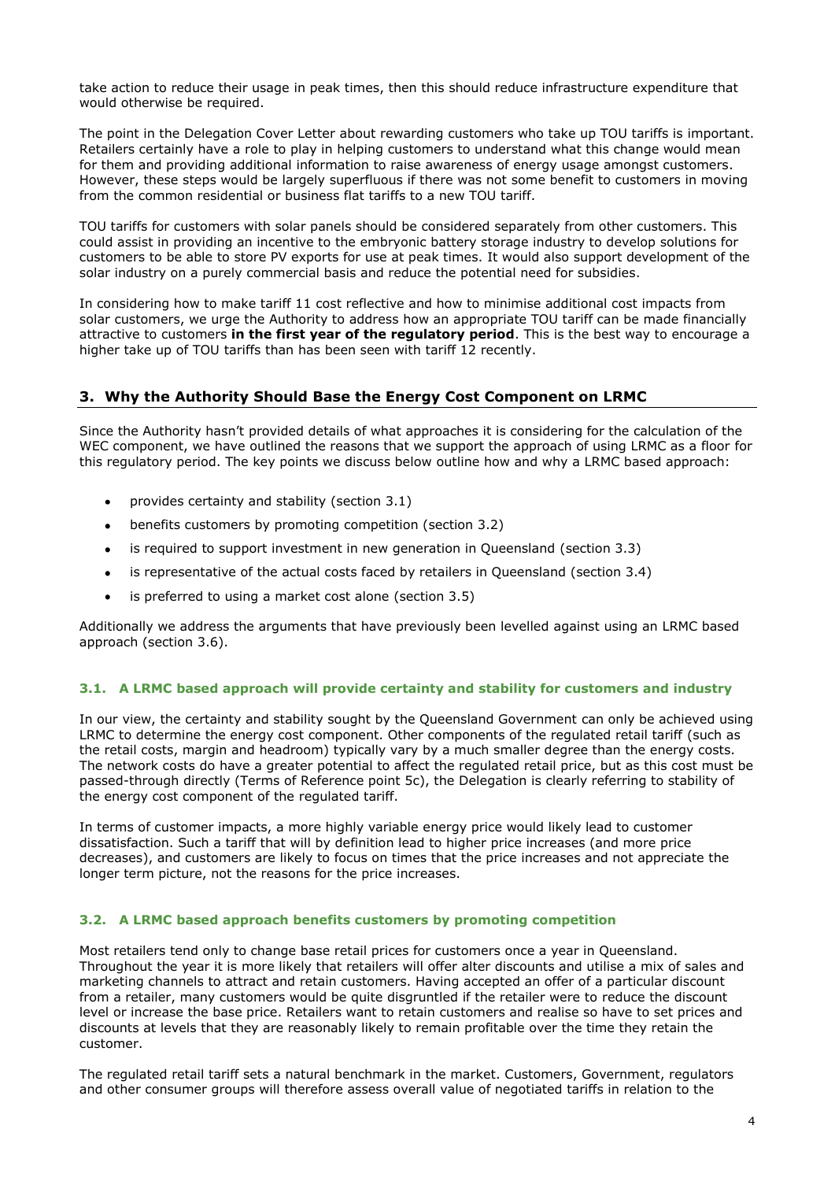take action to reduce their usage in peak times, then this should reduce infrastructure expenditure that would otherwise be required.

The point in the Delegation Cover Letter about rewarding customers who take up TOU tariffs is important. Retailers certainly have a role to play in helping customers to understand what this change would mean for them and providing additional information to raise awareness of energy usage amongst customers. However, these steps would be largely superfluous if there was not some benefit to customers in moving from the common residential or business flat tariffs to a new TOU tariff.

TOU tariffs for customers with solar panels should be considered separately from other customers. This could assist in providing an incentive to the embryonic battery storage industry to develop solutions for customers to be able to store PV exports for use at peak times. It would also support development of the solar industry on a purely commercial basis and reduce the potential need for subsidies.

In considering how to make tariff 11 cost reflective and how to minimise additional cost impacts from solar customers, we urge the Authority to address how an appropriate TOU tariff can be made financially attractive to customers **in the first year of the regulatory period**. This is the best way to encourage a higher take up of TOU tariffs than has been seen with tariff 12 recently.

# <span id="page-3-0"></span>**3. Why the Authority Should Base the Energy Cost Component on LRMC**

Since the Authority hasn't provided details of what approaches it is considering for the calculation of the WEC component, we have outlined the reasons that we support the approach of using LRMC as a floor for this regulatory period. The key points we discuss below outline how and why a LRMC based approach:

- provides certainty and stability (section [3.1\)](#page-3-1)  $\bullet$
- benefits customers by promoting competition (section [3.2\)](#page-3-2)  $\bullet$
- is required to support investment in new generation in Queensland (section [3.3\)](#page-4-0)  $\bullet$
- is representative of the actual costs faced by retailers in Queensland (section [3.4\)](#page-4-1)  $\bullet$
- is preferred to using a market cost alone (section [3.5\)](#page-5-0)  $\bullet$

Additionally we address the arguments that have previously been levelled against using an LRMC based approach (section [3.6\)](#page-6-0).

## <span id="page-3-1"></span>**3.1. A LRMC based approach will provide certainty and stability for customers and industry**

In our view, the certainty and stability sought by the Queensland Government can only be achieved using LRMC to determine the energy cost component. Other components of the regulated retail tariff (such as the retail costs, margin and headroom) typically vary by a much smaller degree than the energy costs. The network costs do have a greater potential to affect the regulated retail price, but as this cost must be passed-through directly (Terms of Reference point 5c), the Delegation is clearly referring to stability of the energy cost component of the regulated tariff.

In terms of customer impacts, a more highly variable energy price would likely lead to customer dissatisfaction. Such a tariff that will by definition lead to higher price increases (and more price decreases), and customers are likely to focus on times that the price increases and not appreciate the longer term picture, not the reasons for the price increases.

## <span id="page-3-2"></span>**3.2. A LRMC based approach benefits customers by promoting competition**

Most retailers tend only to change base retail prices for customers once a year in Queensland. Throughout the year it is more likely that retailers will offer alter discounts and utilise a mix of sales and marketing channels to attract and retain customers. Having accepted an offer of a particular discount from a retailer, many customers would be quite disgruntled if the retailer were to reduce the discount level or increase the base price. Retailers want to retain customers and realise so have to set prices and discounts at levels that they are reasonably likely to remain profitable over the time they retain the customer.

The regulated retail tariff sets a natural benchmark in the market. Customers, Government, regulators and other consumer groups will therefore assess overall value of negotiated tariffs in relation to the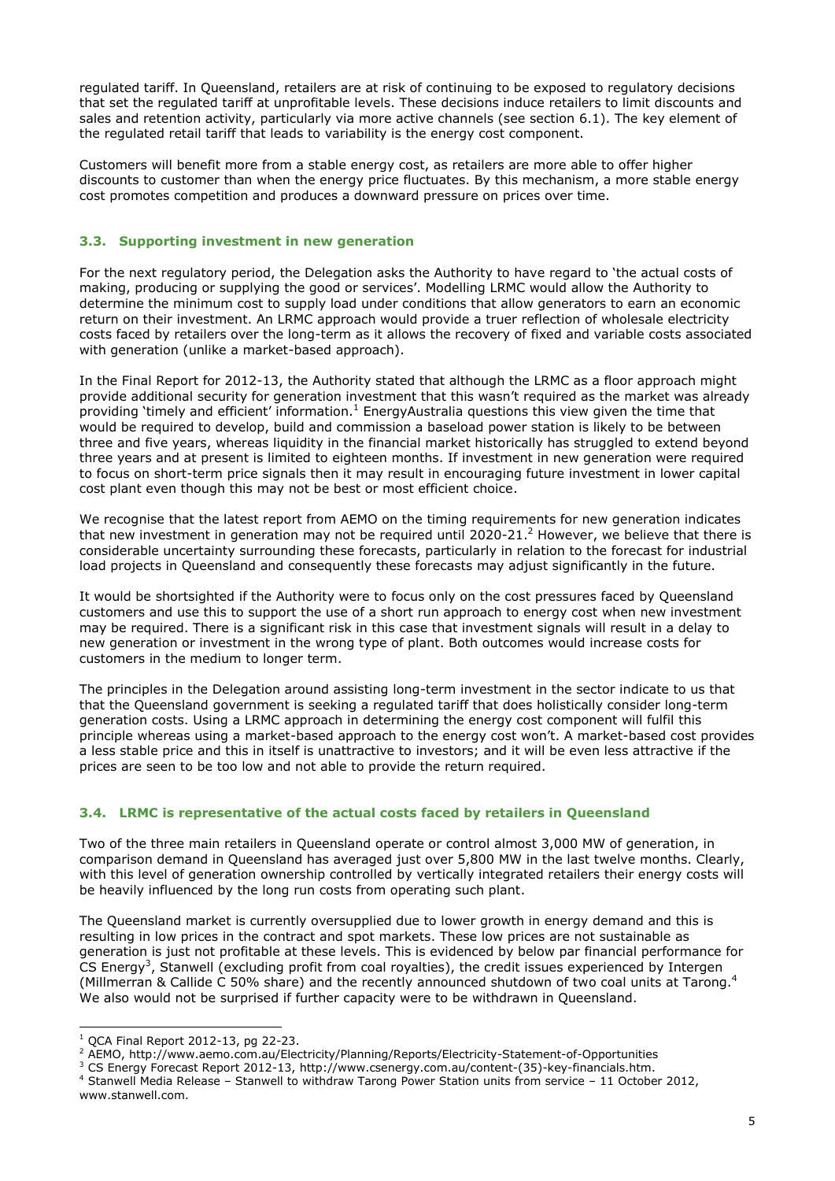regulated tariff. In Queensland, retailers are at risk of continuing to be exposed to regulatory decisions that set the regulated tariff at unprofitable levels. These decisions induce retailers to limit discounts and sales and retention activity, particularly via more active channels (see section [6.1\)](#page-9-1). The key element of the regulated retail tariff that leads to variability is the energy cost component.

Customers will benefit more from a stable energy cost, as retailers are more able to offer higher discounts to customer than when the energy price fluctuates. By this mechanism, a more stable energy cost promotes competition and produces a downward pressure on prices over time.

## <span id="page-4-0"></span>**3.3. Supporting investment in new generation**

For the next regulatory period, the Delegation asks the Authority to have regard to 'the actual costs of making, producing or supplying the good or services'. Modelling LRMC would allow the Authority to determine the minimum cost to supply load under conditions that allow generators to earn an economic return on their investment. An LRMC approach would provide a truer reflection of wholesale electricity costs faced by retailers over the long-term as it allows the recovery of fixed and variable costs associated with generation (unlike a market-based approach).

In the Final Report for 2012-13, the Authority stated that although the LRMC as a floor approach might provide additional security for generation investment that this wasn't required as the market was already providing 'timely and efficient' information.<sup>1</sup> EnergyAustralia questions this view given the time that would be required to develop, build and commission a baseload power station is likely to be between three and five years, whereas liquidity in the financial market historically has struggled to extend beyond three years and at present is limited to eighteen months. If investment in new generation were required to focus on short-term price signals then it may result in encouraging future investment in lower capital cost plant even though this may not be best or most efficient choice.

We recognise that the latest report from AEMO on the timing requirements for new generation indicates that new investment in generation may not be required until 2020-21.<sup>2</sup> However, we believe that there is considerable uncertainty surrounding these forecasts, particularly in relation to the forecast for industrial load projects in Queensland and consequently these forecasts may adjust significantly in the future.

It would be shortsighted if the Authority were to focus only on the cost pressures faced by Queensland customers and use this to support the use of a short run approach to energy cost when new investment may be required. There is a significant risk in this case that investment signals will result in a delay to new generation or investment in the wrong type of plant. Both outcomes would increase costs for customers in the medium to longer term.

The principles in the Delegation around assisting long-term investment in the sector indicate to us that that the Queensland government is seeking a regulated tariff that does holistically consider long-term generation costs. Using a LRMC approach in determining the energy cost component will fulfil this principle whereas using a market-based approach to the energy cost won't. A market-based cost provides a less stable price and this in itself is unattractive to investors; and it will be even less attractive if the prices are seen to be too low and not able to provide the return required.

#### <span id="page-4-1"></span>**3.4. LRMC is representative of the actual costs faced by retailers in Queensland**

Two of the three main retailers in Queensland operate or control almost 3,000 MW of generation, in comparison demand in Queensland has averaged just over 5,800 MW in the last twelve months. Clearly, with this level of generation ownership controlled by vertically integrated retailers their energy costs will be heavily influenced by the long run costs from operating such plant.

The Queensland market is currently oversupplied due to lower growth in energy demand and this is resulting in low prices in the contract and spot markets. These low prices are not sustainable as generation is just not profitable at these levels. This is evidenced by below par financial performance for CS Energy<sup>3</sup>, Stanwell (excluding profit from coal royalties), the credit issues experienced by Intergen (Millmerran & Callide C 50% share) and the recently announced shutdown of two coal units at Tarong.<sup>4</sup> We also would not be surprised if further capacity were to be withdrawn in Queensland.

-

 $1$  QCA Final Report 2012-13, pg 22-23.

<sup>2</sup> AEMO, http://www.aemo.com.au/Electricity/Planning/Reports/Electricity-Statement-of-Opportunities

<sup>3</sup> CS Energy Forecast Report 2012-13, http://www.csenergy.com.au/content-(35)-key-financials.htm.

<sup>4</sup> Stanwell Media Release – Stanwell to withdraw Tarong Power Station units from service – 11 October 2012, www.stanwell.com.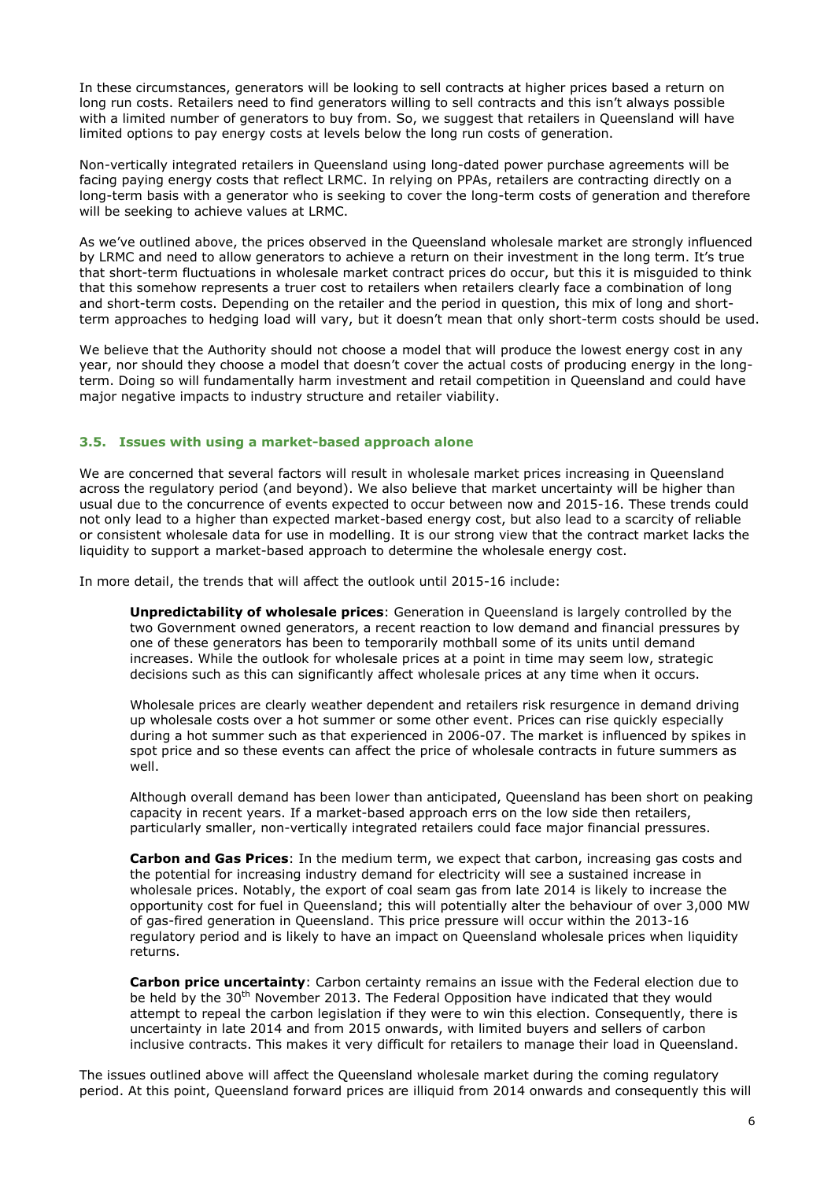In these circumstances, generators will be looking to sell contracts at higher prices based a return on long run costs. Retailers need to find generators willing to sell contracts and this isn't always possible with a limited number of generators to buy from. So, we suggest that retailers in Queensland will have limited options to pay energy costs at levels below the long run costs of generation.

Non-vertically integrated retailers in Queensland using long-dated power purchase agreements will be facing paying energy costs that reflect LRMC. In relying on PPAs, retailers are contracting directly on a long-term basis with a generator who is seeking to cover the long-term costs of generation and therefore will be seeking to achieve values at LRMC.

As we've outlined above, the prices observed in the Queensland wholesale market are strongly influenced by LRMC and need to allow generators to achieve a return on their investment in the long term. It's true that short-term fluctuations in wholesale market contract prices do occur, but this it is misguided to think that this somehow represents a truer cost to retailers when retailers clearly face a combination of long and short-term costs. Depending on the retailer and the period in question, this mix of long and shortterm approaches to hedging load will vary, but it doesn't mean that only short-term costs should be used.

We believe that the Authority should not choose a model that will produce the lowest energy cost in any year, nor should they choose a model that doesn't cover the actual costs of producing energy in the longterm. Doing so will fundamentally harm investment and retail competition in Queensland and could have major negative impacts to industry structure and retailer viability.

#### <span id="page-5-0"></span>**3.5. Issues with using a market-based approach alone**

We are concerned that several factors will result in wholesale market prices increasing in Queensland across the regulatory period (and beyond). We also believe that market uncertainty will be higher than usual due to the concurrence of events expected to occur between now and 2015-16. These trends could not only lead to a higher than expected market-based energy cost, but also lead to a scarcity of reliable or consistent wholesale data for use in modelling. It is our strong view that the contract market lacks the liquidity to support a market-based approach to determine the wholesale energy cost.

In more detail, the trends that will affect the outlook until 2015-16 include:

**Unpredictability of wholesale prices**: Generation in Queensland is largely controlled by the two Government owned generators, a recent reaction to low demand and financial pressures by one of these generators has been to temporarily mothball some of its units until demand increases. While the outlook for wholesale prices at a point in time may seem low, strategic decisions such as this can significantly affect wholesale prices at any time when it occurs.

Wholesale prices are clearly weather dependent and retailers risk resurgence in demand driving up wholesale costs over a hot summer or some other event. Prices can rise quickly especially during a hot summer such as that experienced in 2006-07. The market is influenced by spikes in spot price and so these events can affect the price of wholesale contracts in future summers as well.

Although overall demand has been lower than anticipated, Queensland has been short on peaking capacity in recent years. If a market-based approach errs on the low side then retailers, particularly smaller, non-vertically integrated retailers could face major financial pressures.

**Carbon and Gas Prices**: In the medium term, we expect that carbon, increasing gas costs and the potential for increasing industry demand for electricity will see a sustained increase in wholesale prices. Notably, the export of coal seam gas from late 2014 is likely to increase the opportunity cost for fuel in Queensland; this will potentially alter the behaviour of over 3,000 MW of gas-fired generation in Queensland. This price pressure will occur within the 2013-16 regulatory period and is likely to have an impact on Queensland wholesale prices when liquidity returns.

**Carbon price uncertainty**: Carbon certainty remains an issue with the Federal election due to be held by the  $30<sup>th</sup>$  November 2013. The Federal Opposition have indicated that they would attempt to repeal the carbon legislation if they were to win this election. Consequently, there is uncertainty in late 2014 and from 2015 onwards, with limited buyers and sellers of carbon inclusive contracts. This makes it very difficult for retailers to manage their load in Queensland.

The issues outlined above will affect the Queensland wholesale market during the coming regulatory period. At this point, Queensland forward prices are illiquid from 2014 onwards and consequently this will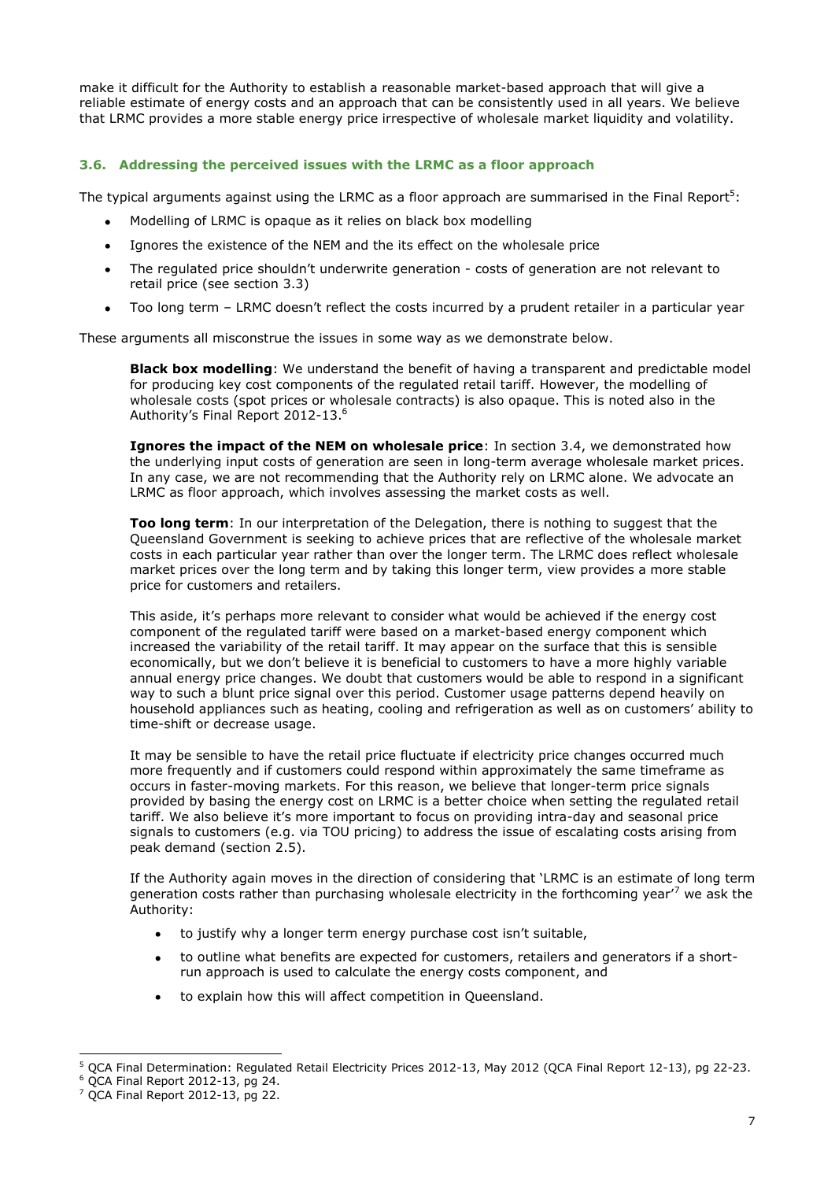make it difficult for the Authority to establish a reasonable market-based approach that will give a reliable estimate of energy costs and an approach that can be consistently used in all years. We believe that LRMC provides a more stable energy price irrespective of wholesale market liquidity and volatility.

## <span id="page-6-0"></span>**3.6. Addressing the perceived issues with the LRMC as a floor approach**

The typical arguments against using the LRMC as a floor approach are summarised in the Final Report<sup>5</sup>:

- Modelling of LRMC is opaque as it relies on black box modelling
- Ignores the existence of the NEM and the its effect on the wholesale price  $\bullet$
- The regulated price shouldn't underwrite generation costs of generation are not relevant to  $\bullet$ retail price (see section [3.3\)](#page-4-0)
- Too long term LRMC doesn't reflect the costs incurred by a prudent retailer in a particular year  $\bullet$

These arguments all misconstrue the issues in some way as we demonstrate below.

**Black box modelling**: We understand the benefit of having a transparent and predictable model for producing key cost components of the regulated retail tariff. However, the modelling of wholesale costs (spot prices or wholesale contracts) is also opaque. This is noted also in the Authority's Final Report 2012-13.<sup>6</sup>

**Ignores the impact of the NEM on wholesale price**: In section [3.4,](#page-4-1) we demonstrated how the underlying input costs of generation are seen in long-term average wholesale market prices. In any case, we are not recommending that the Authority rely on LRMC alone. We advocate an LRMC as floor approach, which involves assessing the market costs as well.

**Too long term**: In our interpretation of the Delegation, there is nothing to suggest that the Queensland Government is seeking to achieve prices that are reflective of the wholesale market costs in each particular year rather than over the longer term. The LRMC does reflect wholesale market prices over the long term and by taking this longer term, view provides a more stable price for customers and retailers.

This aside, it's perhaps more relevant to consider what would be achieved if the energy cost component of the regulated tariff were based on a market-based energy component which increased the variability of the retail tariff. It may appear on the surface that this is sensible economically, but we don't believe it is beneficial to customers to have a more highly variable annual energy price changes. We doubt that customers would be able to respond in a significant way to such a blunt price signal over this period. Customer usage patterns depend heavily on household appliances such as heating, cooling and refrigeration as well as on customers' ability to time-shift or decrease usage.

It may be sensible to have the retail price fluctuate if electricity price changes occurred much more frequently and if customers could respond within approximately the same timeframe as occurs in faster-moving markets. For this reason, we believe that longer-term price signals provided by basing the energy cost on LRMC is a better choice when setting the regulated retail tariff. We also believe it's more important to focus on providing intra-day and seasonal price signals to customers (e.g. via TOU pricing) to address the issue of escalating costs arising from peak demand (section [2.5\)](#page-2-0).

If the Authority again moves in the direction of considering that 'LRMC is an estimate of long term generation costs rather than purchasing wholesale electricity in the forthcoming year'<sup>7</sup> we ask the Authority:

- to justify why a longer term energy purchase cost isn't suitable,
- to outline what benefits are expected for customers, retailers and generators if a shortrun approach is used to calculate the energy costs component, and
- to explain how this will affect competition in Queensland.

-

<sup>5</sup> QCA Final Determination: Regulated Retail Electricity Prices 2012-13, May 2012 (QCA Final Report 12-13), pg 22-23.

 $6$  QCA Final Report 2012-13, pg 24.

 $7$  OCA Final Report 2012-13, pg 22.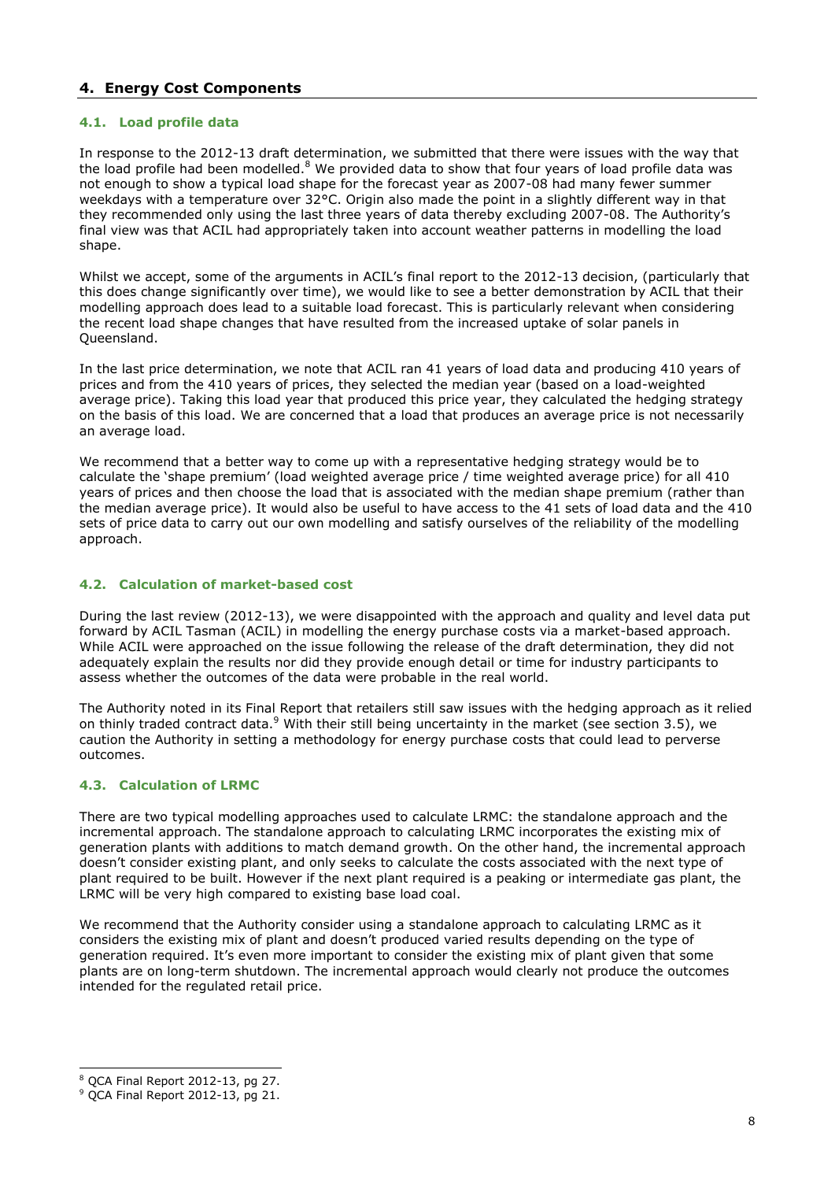# <span id="page-7-0"></span>**4. Energy Cost Components**

## **4.1. Load profile data**

In response to the 2012-13 draft determination, we submitted that there were issues with the way that the load profile had been modelled.<sup>8</sup> We provided data to show that four years of load profile data was not enough to show a typical load shape for the forecast year as 2007-08 had many fewer summer weekdays with a temperature over 32°C. Origin also made the point in a slightly different way in that they recommended only using the last three years of data thereby excluding 2007-08. The Authority's final view was that ACIL had appropriately taken into account weather patterns in modelling the load shape.

Whilst we accept, some of the arguments in ACIL's final report to the 2012-13 decision, (particularly that this does change significantly over time), we would like to see a better demonstration by ACIL that their modelling approach does lead to a suitable load forecast. This is particularly relevant when considering the recent load shape changes that have resulted from the increased uptake of solar panels in Queensland.

In the last price determination, we note that ACIL ran 41 years of load data and producing 410 years of prices and from the 410 years of prices, they selected the median year (based on a load-weighted average price). Taking this load year that produced this price year, they calculated the hedging strategy on the basis of this load. We are concerned that a load that produces an average price is not necessarily an average load.

We recommend that a better way to come up with a representative hedging strategy would be to calculate the 'shape premium' (load weighted average price / time weighted average price) for all 410 years of prices and then choose the load that is associated with the median shape premium (rather than the median average price). It would also be useful to have access to the 41 sets of load data and the 410 sets of price data to carry out our own modelling and satisfy ourselves of the reliability of the modelling approach.

## **4.2. Calculation of market-based cost**

During the last review (2012-13), we were disappointed with the approach and quality and level data put forward by ACIL Tasman (ACIL) in modelling the energy purchase costs via a market-based approach. While ACIL were approached on the issue following the release of the draft determination, they did not adequately explain the results nor did they provide enough detail or time for industry participants to assess whether the outcomes of the data were probable in the real world.

The Authority noted in its Final Report that retailers still saw issues with the hedging approach as it relied on thinly traded contract data. $9$  With their still being uncertainty in the market (see section [3.5\)](#page-5-0), we caution the Authority in setting a methodology for energy purchase costs that could lead to perverse outcomes.

## **4.3. Calculation of LRMC**

There are two typical modelling approaches used to calculate LRMC: the standalone approach and the incremental approach. The standalone approach to calculating LRMC incorporates the existing mix of generation plants with additions to match demand growth. On the other hand, the incremental approach doesn't consider existing plant, and only seeks to calculate the costs associated with the next type of plant required to be built. However if the next plant required is a peaking or intermediate gas plant, the LRMC will be very high compared to existing base load coal.

We recommend that the Authority consider using a standalone approach to calculating LRMC as it considers the existing mix of plant and doesn't produced varied results depending on the type of generation required. It's even more important to consider the existing mix of plant given that some plants are on long-term shutdown. The incremental approach would clearly not produce the outcomes intended for the regulated retail price.

<sup>-</sup> $8$  QCA Final Report 2012-13, pg 27.

<sup>9</sup> QCA Final Report 2012-13, pg 21.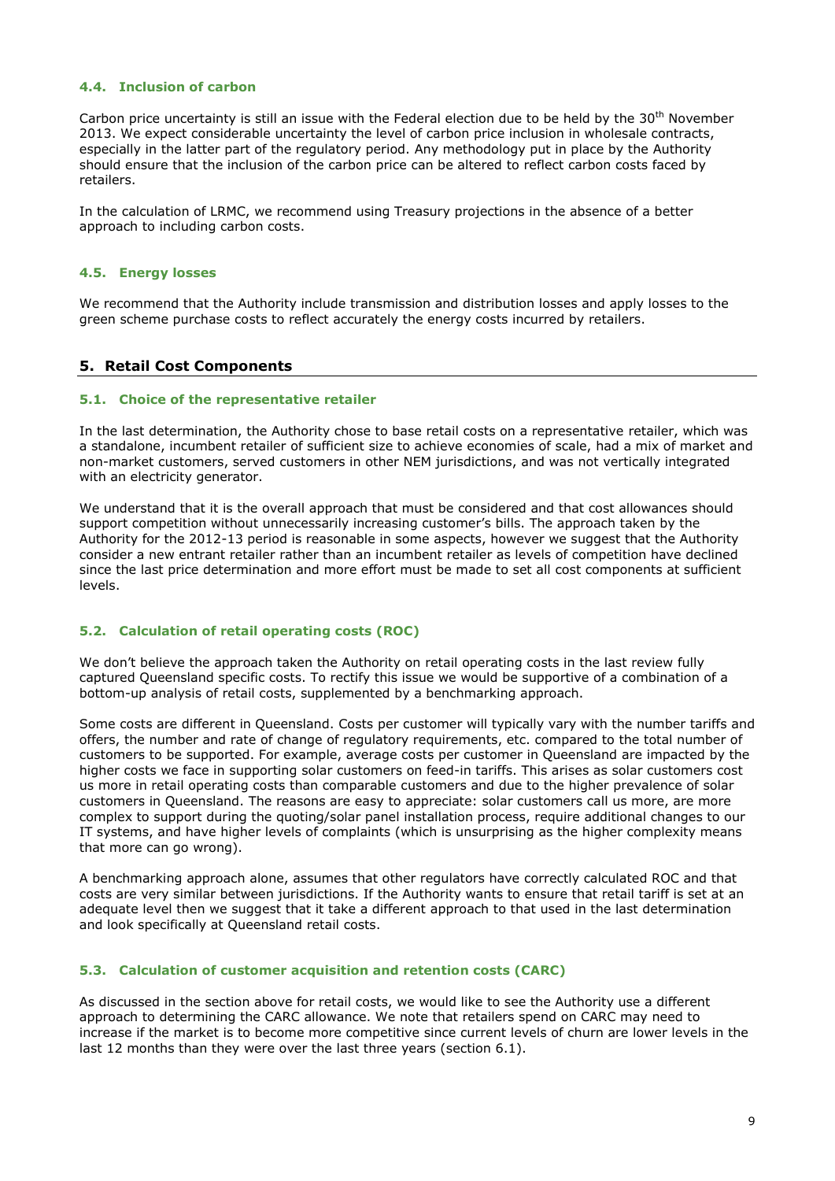## **4.4. Inclusion of carbon**

Carbon price uncertainty is still an issue with the Federal election due to be held by the  $30<sup>th</sup>$  November 2013. We expect considerable uncertainty the level of carbon price inclusion in wholesale contracts, especially in the latter part of the regulatory period. Any methodology put in place by the Authority should ensure that the inclusion of the carbon price can be altered to reflect carbon costs faced by retailers.

In the calculation of LRMC, we recommend using Treasury projections in the absence of a better approach to including carbon costs.

#### **4.5. Energy losses**

We recommend that the Authority include transmission and distribution losses and apply losses to the green scheme purchase costs to reflect accurately the energy costs incurred by retailers.

## **5. Retail Cost Components**

#### **5.1. Choice of the representative retailer**

In the last determination, the Authority chose to base retail costs on a representative retailer, which was a standalone, incumbent retailer of sufficient size to achieve economies of scale, had a mix of market and non-market customers, served customers in other NEM jurisdictions, and was not vertically integrated with an electricity generator.

We understand that it is the overall approach that must be considered and that cost allowances should support competition without unnecessarily increasing customer's bills. The approach taken by the Authority for the 2012-13 period is reasonable in some aspects, however we suggest that the Authority consider a new entrant retailer rather than an incumbent retailer as levels of competition have declined since the last price determination and more effort must be made to set all cost components at sufficient levels.

## **5.2. Calculation of retail operating costs (ROC)**

We don't believe the approach taken the Authority on retail operating costs in the last review fully captured Queensland specific costs. To rectify this issue we would be supportive of a combination of a bottom-up analysis of retail costs, supplemented by a benchmarking approach.

Some costs are different in Queensland. Costs per customer will typically vary with the number tariffs and offers, the number and rate of change of regulatory requirements, etc. compared to the total number of customers to be supported. For example, average costs per customer in Queensland are impacted by the higher costs we face in supporting solar customers on feed-in tariffs. This arises as solar customers cost us more in retail operating costs than comparable customers and due to the higher prevalence of solar customers in Queensland. The reasons are easy to appreciate: solar customers call us more, are more complex to support during the quoting/solar panel installation process, require additional changes to our IT systems, and have higher levels of complaints (which is unsurprising as the higher complexity means that more can go wrong).

A benchmarking approach alone, assumes that other regulators have correctly calculated ROC and that costs are very similar between jurisdictions. If the Authority wants to ensure that retail tariff is set at an adequate level then we suggest that it take a different approach to that used in the last determination and look specifically at Queensland retail costs.

#### **5.3. Calculation of customer acquisition and retention costs (CARC)**

As discussed in the section above for retail costs, we would like to see the Authority use a different approach to determining the CARC allowance. We note that retailers spend on CARC may need to increase if the market is to become more competitive since current levels of churn are lower levels in the last 12 months than they were over the last three years (section [6.1\)](#page-9-1).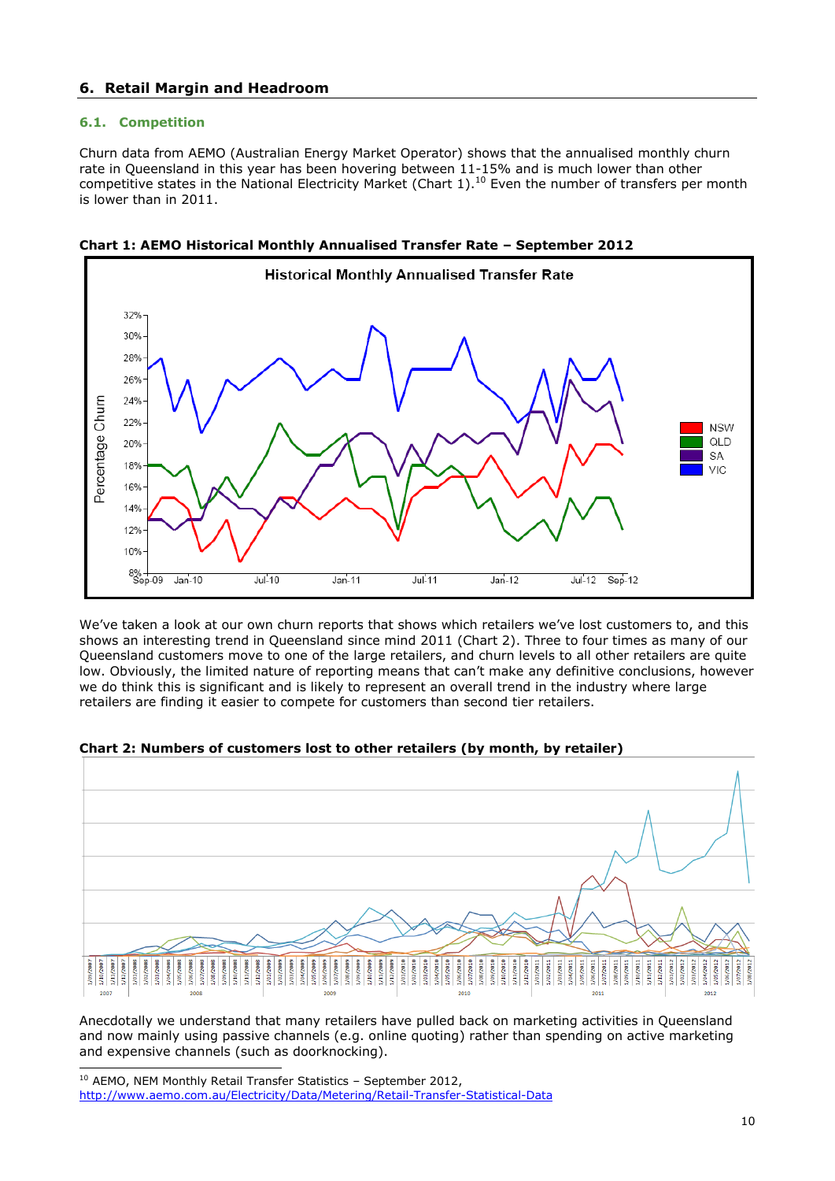# <span id="page-9-0"></span>**6. Retail Margin and Headroom**

## <span id="page-9-1"></span>**6.1. Competition**

18%

16% 14% 12% 10%

8% -<br>Sep-09

 $Jan-10$ 

 $Jul-10$ 

Churn data from AEMO (Australian Energy Market Operator) shows that the annualised monthly churn rate in Queensland in this year has been hovering between 11-15% and is much lower than other competitive states in the National Electricity Market (Chart  $1$ ).<sup>10</sup> Even the number of transfers per month is lower than in 2011.





We've taken a look at our own churn reports that shows which retailers we've lost customers to, and this shows an interesting trend in Queensland since mind 2011 (Chart 2). Three to four times as many of our Queensland customers move to one of the large retailers, and churn levels to all other retailers are quite low. Obviously, the limited nature of reporting means that can't make any definitive conclusions, however we do think this is significant and is likely to represent an overall trend in the industry where large retailers are finding it easier to compete for customers than second tier retailers.

 $Jul-11$ 

 $Jan-12$ 

 $Jul-12$ 

 $Sep-12$ 



#### **Chart 2: Numbers of customers lost to other retailers (by month, by retailer)**

 $Jan-11$ 

Anecdotally we understand that many retailers have pulled back on marketing activities in Queensland and now mainly using passive channels (e.g. online quoting) rather than spending on active marketing and expensive channels (such as doorknocking).

**NSW** QLD

SA

VIC

<sup>-</sup><sup>10</sup> AEMO, NEM Monthly Retail Transfer Statistics - September 2012, <http://www.aemo.com.au/Electricity/Data/Metering/Retail-Transfer-Statistical-Data>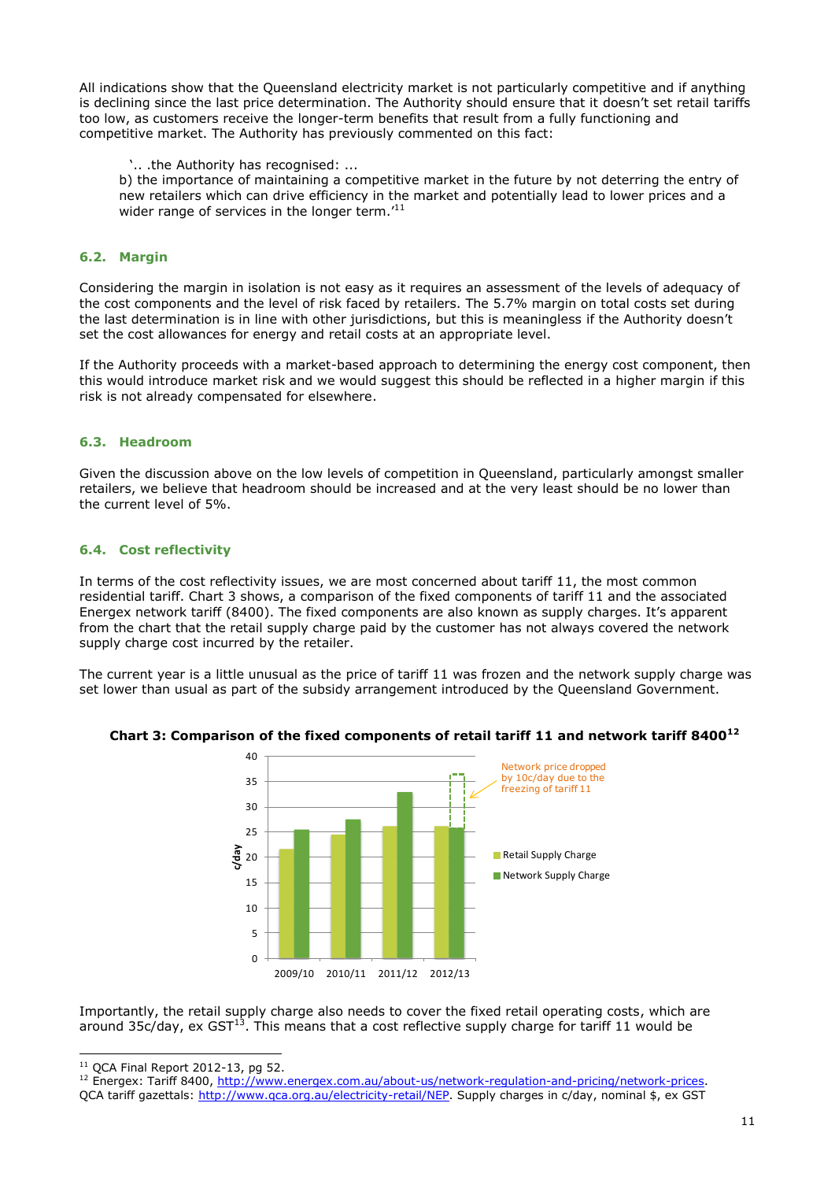All indications show that the Queensland electricity market is not particularly competitive and if anything is declining since the last price determination. The Authority should ensure that it doesn't set retail tariffs too low, as customers receive the longer-term benefits that result from a fully functioning and competitive market. The Authority has previously commented on this fact:

'.. .the Authority has recognised: ...

b) the importance of maintaining a competitive market in the future by not deterring the entry of new retailers which can drive efficiency in the market and potentially lead to lower prices and a wider range of services in the longer term.<sup>'11</sup>

## **6.2. Margin**

Considering the margin in isolation is not easy as it requires an assessment of the levels of adequacy of the cost components and the level of risk faced by retailers. The 5.7% margin on total costs set during the last determination is in line with other jurisdictions, but this is meaningless if the Authority doesn't set the cost allowances for energy and retail costs at an appropriate level.

If the Authority proceeds with a market-based approach to determining the energy cost component, then this would introduce market risk and we would suggest this should be reflected in a higher margin if this risk is not already compensated for elsewhere.

## **6.3. Headroom**

Given the discussion above on the low levels of competition in Queensland, particularly amongst smaller retailers, we believe that headroom should be increased and at the very least should be no lower than the current level of 5%.

## **6.4. Cost reflectivity**

In terms of the cost reflectivity issues, we are most concerned about tariff 11, the most common residential tariff. Chart 3 shows, a comparison of the fixed components of tariff 11 and the associated Energex network tariff (8400). The fixed components are also known as supply charges. It's apparent from the chart that the retail supply charge paid by the customer has not always covered the network supply charge cost incurred by the retailer.

The current year is a little unusual as the price of tariff 11 was frozen and the network supply charge was set lower than usual as part of the subsidy arrangement introduced by the Queensland Government.



Importantly, the retail supply charge also needs to cover the fixed retail operating costs, which are around 35 $c$ /day, ex GST<sup>13</sup>. This means that a cost reflective supply charge for tariff 11 would be

<sup>-</sup> $11$  OCA Final Report 2012-13, pg 52.

<sup>&</sup>lt;sup>12</sup> Energex: Tariff 8400, [http://www.energex.com.au/about-us/network-regulation-and-pricing/network-prices.](http://www.energex.com.au/about-us/network-regulation-and-pricing/network-prices) QCA tariff gazettals: http://www.gca.org.au/electricity-retail/NEP. Supply charges in c/day, nominal \$, ex GST